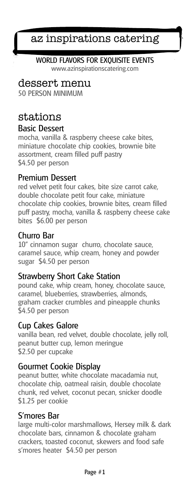# az inspirations catering

## WORLD FLAVORS FOR EXQUISITE EVENTS

www.azinspirationscatering.com

# dessert menu

50 PERSON MINIMUM

# stations

#### Basic Dessert

mocha, vanilla & raspberry cheese cake bites, miniature chocolate chip cookies, brownie bite assortment, cream filled puff pastry \$4.50 per person

## Premium Dessert

red velvet petit four cakes, bite size carrot cake, double chocolate petit four cake, miniature chocolate chip cookies, brownie bites, cream filled puff pastry, mocha, vanilla & raspberry cheese cake bites \$6.00 per person

## Churro Bar

10" cinnamon sugar churro, chocolate sauce, caramel sauce, whip cream, honey and powder sugar \$4.50 per person

## Strawberry Short Cake Station

pound cake, whip cream, honey, chocolate sauce, caramel, blueberries, strawberries, almonds, graham cracker crumbles and pineapple chunks \$4.50 per person

## Cup Cakes Galore

vanilla bean, red velvet, double chocolate, jelly roll, peanut butter cup, lemon meringue \$2.50 per cupcake

## Gourmet Cookie Display

peanut butter, white chocolate macadamia nut, chocolate chip, oatmeal raisin, double chocolate chunk, red velvet, coconut pecan, snicker doodle \$1.25 per cookie

#### S'mores Bar

large multi-color marshmallows, Hersey milk & dark chocolate bars, cinnamon & chocolate graham crackers, toasted coconut, skewers and food safe s'mores heater \$4.50 per person